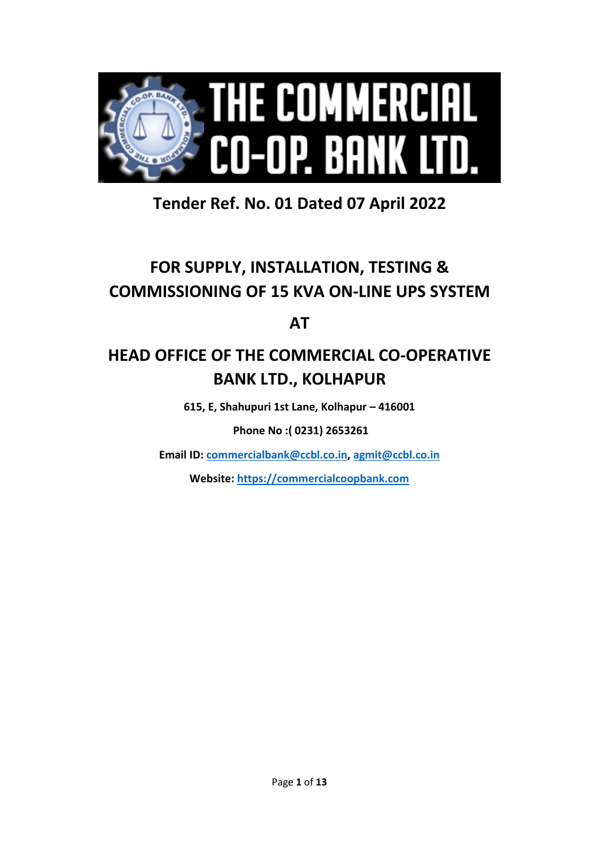

# **Tender Ref. No. 01 Dated 07 April 2022**

# **FOR SUPPLY, INSTALLATION, TESTING & COMMISSIONING OF 15 KVA ON-LINE UPS SYSTEM**

**AT**

# **HEAD OFFICE OF THE COMMERCIAL CO-OPERATIVE BANK LTD., KOLHAPUR**

**615, E, Shahupuri 1st Lane, Kolhapur – 416001**

**Phone No :( 0231) 2653261**

**Email ID: [commercialbank@ccbl.co.in,](mailto:commercialbank@ccbl.co.in) [agmit@ccbl.co.in](mailto:agmit@ccbl.co.in)**

**Website: https://commercialcoopbank.com**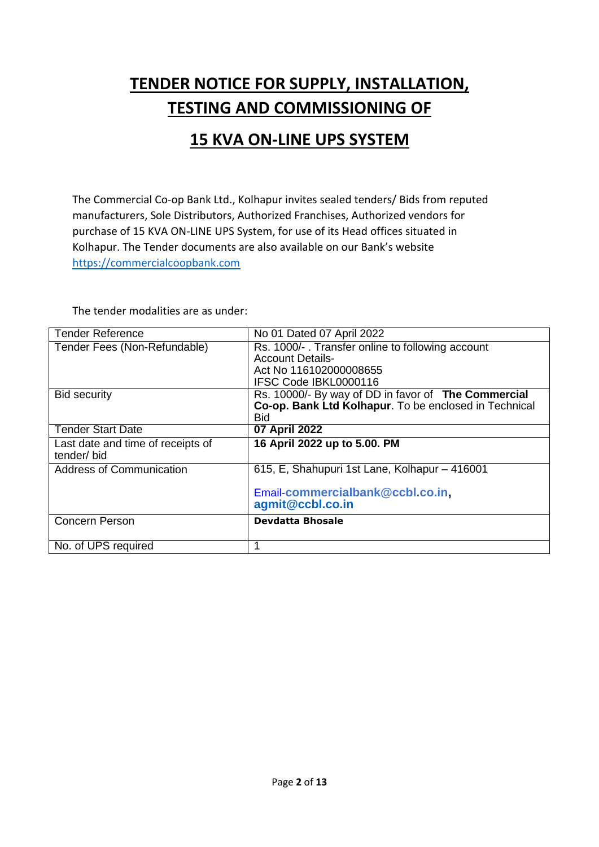# **TENDER NOTICE FOR SUPPLY, INSTALLATION, TESTING AND COMMISSIONING OF**

# **15 KVA ON-LINE UPS SYSTEM**

The Commercial Co-op Bank Ltd., Kolhapur invites sealed tenders/ Bids from reputed manufacturers, Sole Distributors, Authorized Franchises, Authorized vendors for purchase of 15 KVA ON-LINE UPS System, for use of its Head offices situated in Kolhapur. The Tender documents are also available on our Bank's website https://commercialcoopbank.com

The tender modalities are as under:

| <b>Tender Reference</b>           | No 01 Dated 07 April 2022                             |
|-----------------------------------|-------------------------------------------------------|
| Tender Fees (Non-Refundable)      | Rs. 1000/-. Transfer online to following account      |
|                                   | <b>Account Details-</b>                               |
|                                   | Act No 116102000008655                                |
|                                   | IFSC Code IBKL0000116                                 |
| <b>Bid security</b>               | Rs. 10000/- By way of DD in favor of The Commercial   |
|                                   | Co-op. Bank Ltd Kolhapur. To be enclosed in Technical |
|                                   | Bid.                                                  |
| <b>Tender Start Date</b>          | 07 April 2022                                         |
| Last date and time of receipts of | 16 April 2022 up to 5.00. PM                          |
| tender/bid                        |                                                       |
| <b>Address of Communication</b>   | 615, E, Shahupuri 1st Lane, Kolhapur - 416001         |
|                                   | Email-commercialbank@ccbl.co.in.                      |
|                                   | agmit@ccbl.co.in                                      |
| <b>Concern Person</b>             | Devdatta Bhosale                                      |
|                                   |                                                       |
| No. of UPS required               |                                                       |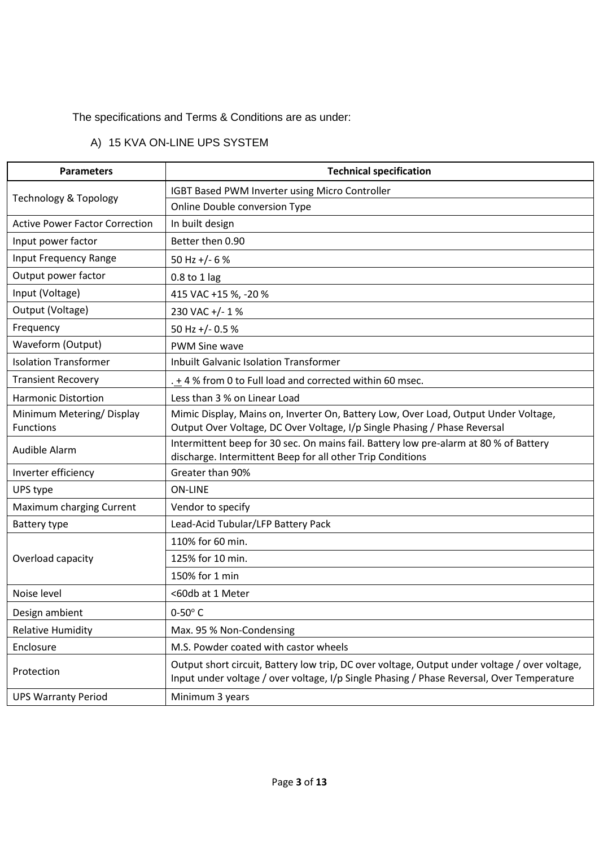#### The specifications and Terms & Conditions are as under:

# A) 15 KVA ON-LINE UPS SYSTEM

| <b>Parameters</b>                            | <b>Technical specification</b>                                                                                                                                                             |
|----------------------------------------------|--------------------------------------------------------------------------------------------------------------------------------------------------------------------------------------------|
|                                              | IGBT Based PWM Inverter using Micro Controller                                                                                                                                             |
| <b>Technology &amp; Topology</b>             | Online Double conversion Type                                                                                                                                                              |
| <b>Active Power Factor Correction</b>        | In built design                                                                                                                                                                            |
| Input power factor                           | Better then 0.90                                                                                                                                                                           |
| Input Frequency Range                        | 50 Hz +/- 6 $%$                                                                                                                                                                            |
| Output power factor                          | $0.8$ to 1 lag                                                                                                                                                                             |
| Input (Voltage)                              | 415 VAC +15 %, -20 %                                                                                                                                                                       |
| Output (Voltage)                             | 230 VAC +/- 1%                                                                                                                                                                             |
| Frequency                                    | 50 Hz +/- 0.5 %                                                                                                                                                                            |
| Waveform (Output)                            | <b>PWM Sine wave</b>                                                                                                                                                                       |
| <b>Isolation Transformer</b>                 | <b>Inbuilt Galvanic Isolation Transformer</b>                                                                                                                                              |
| <b>Transient Recovery</b>                    | . + 4 % from 0 to Full load and corrected within 60 msec.                                                                                                                                  |
| <b>Harmonic Distortion</b>                   | Less than 3 % on Linear Load                                                                                                                                                               |
| Minimum Metering/Display<br><b>Functions</b> | Mimic Display, Mains on, Inverter On, Battery Low, Over Load, Output Under Voltage,<br>Output Over Voltage, DC Over Voltage, I/p Single Phasing / Phase Reversal                           |
| Audible Alarm                                | Intermittent beep for 30 sec. On mains fail. Battery low pre-alarm at 80 % of Battery<br>discharge. Intermittent Beep for all other Trip Conditions                                        |
| Inverter efficiency                          | Greater than 90%                                                                                                                                                                           |
| UPS type                                     | <b>ON-LINE</b>                                                                                                                                                                             |
| Maximum charging Current                     | Vendor to specify                                                                                                                                                                          |
| Battery type                                 | Lead-Acid Tubular/LFP Battery Pack                                                                                                                                                         |
|                                              | 110% for 60 min.                                                                                                                                                                           |
| Overload capacity                            | 125% for 10 min.                                                                                                                                                                           |
|                                              | 150% for 1 min                                                                                                                                                                             |
| Noise level                                  | <60db at 1 Meter                                                                                                                                                                           |
| Design ambient                               | $0-50^\circ$ C                                                                                                                                                                             |
| <b>Relative Humidity</b>                     | Max. 95 % Non-Condensing                                                                                                                                                                   |
| Enclosure                                    | M.S. Powder coated with castor wheels                                                                                                                                                      |
| Protection                                   | Output short circuit, Battery low trip, DC over voltage, Output under voltage / over voltage,<br>Input under voltage / over voltage, I/p Single Phasing / Phase Reversal, Over Temperature |
| <b>UPS Warranty Period</b>                   | Minimum 3 years                                                                                                                                                                            |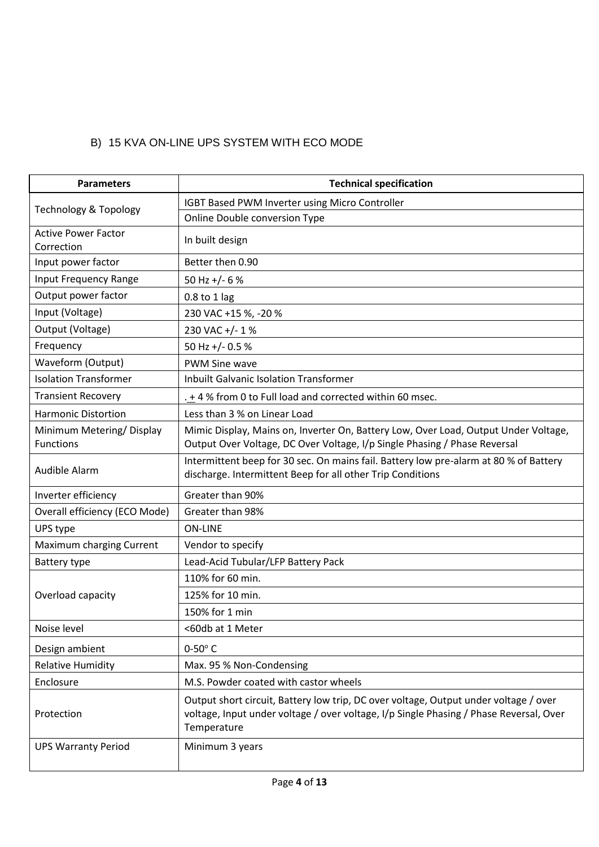## B) 15 KVA ON-LINE UPS SYSTEM WITH ECO MODE

| <b>Parameters</b>                                                                                                                                                    | <b>Technical specification</b>                                                                                                                                                                |  |
|----------------------------------------------------------------------------------------------------------------------------------------------------------------------|-----------------------------------------------------------------------------------------------------------------------------------------------------------------------------------------------|--|
|                                                                                                                                                                      | IGBT Based PWM Inverter using Micro Controller                                                                                                                                                |  |
| <b>Technology &amp; Topology</b>                                                                                                                                     | Online Double conversion Type                                                                                                                                                                 |  |
| <b>Active Power Factor</b><br>Correction                                                                                                                             | In built design                                                                                                                                                                               |  |
| Input power factor                                                                                                                                                   | Better then 0.90                                                                                                                                                                              |  |
| Input Frequency Range                                                                                                                                                | 50 Hz $+/- 6$ %                                                                                                                                                                               |  |
| Output power factor                                                                                                                                                  | $0.8$ to 1 lag                                                                                                                                                                                |  |
| Input (Voltage)                                                                                                                                                      | 230 VAC +15 %, -20 %                                                                                                                                                                          |  |
| Output (Voltage)                                                                                                                                                     | 230 VAC +/- 1 %                                                                                                                                                                               |  |
| Frequency                                                                                                                                                            | 50 Hz +/- 0.5 %                                                                                                                                                                               |  |
| Waveform (Output)                                                                                                                                                    | <b>PWM Sine wave</b>                                                                                                                                                                          |  |
| <b>Isolation Transformer</b>                                                                                                                                         | <b>Inbuilt Galvanic Isolation Transformer</b>                                                                                                                                                 |  |
| <b>Transient Recovery</b>                                                                                                                                            | . + 4 % from 0 to Full load and corrected within 60 msec.                                                                                                                                     |  |
| <b>Harmonic Distortion</b>                                                                                                                                           | Less than 3 % on Linear Load                                                                                                                                                                  |  |
| Minimum Metering/Display<br><b>Functions</b>                                                                                                                         | Mimic Display, Mains on, Inverter On, Battery Low, Over Load, Output Under Voltage,<br>Output Over Voltage, DC Over Voltage, I/p Single Phasing / Phase Reversal                              |  |
| Intermittent beep for 30 sec. On mains fail. Battery low pre-alarm at 80 % of Battery<br>Audible Alarm<br>discharge. Intermittent Beep for all other Trip Conditions |                                                                                                                                                                                               |  |
| Inverter efficiency                                                                                                                                                  | Greater than 90%                                                                                                                                                                              |  |
| Overall efficiency (ECO Mode)                                                                                                                                        | Greater than 98%                                                                                                                                                                              |  |
| UPS type                                                                                                                                                             | <b>ON-LINE</b>                                                                                                                                                                                |  |
| Maximum charging Current                                                                                                                                             | Vendor to specify                                                                                                                                                                             |  |
| Battery type                                                                                                                                                         | Lead-Acid Tubular/LFP Battery Pack                                                                                                                                                            |  |
|                                                                                                                                                                      | 110% for 60 min.                                                                                                                                                                              |  |
| Overload capacity                                                                                                                                                    | 125% for 10 min.                                                                                                                                                                              |  |
|                                                                                                                                                                      | 150% for 1 min                                                                                                                                                                                |  |
| Noise level                                                                                                                                                          | <60db at 1 Meter                                                                                                                                                                              |  |
| Design ambient                                                                                                                                                       | $0-50^\circ$ C                                                                                                                                                                                |  |
| <b>Relative Humidity</b>                                                                                                                                             | Max. 95 % Non-Condensing                                                                                                                                                                      |  |
| Enclosure                                                                                                                                                            | M.S. Powder coated with castor wheels                                                                                                                                                         |  |
| Protection                                                                                                                                                           | Output short circuit, Battery low trip, DC over voltage, Output under voltage / over<br>voltage, Input under voltage / over voltage, I/p Single Phasing / Phase Reversal, Over<br>Temperature |  |
| <b>UPS Warranty Period</b>                                                                                                                                           | Minimum 3 years                                                                                                                                                                               |  |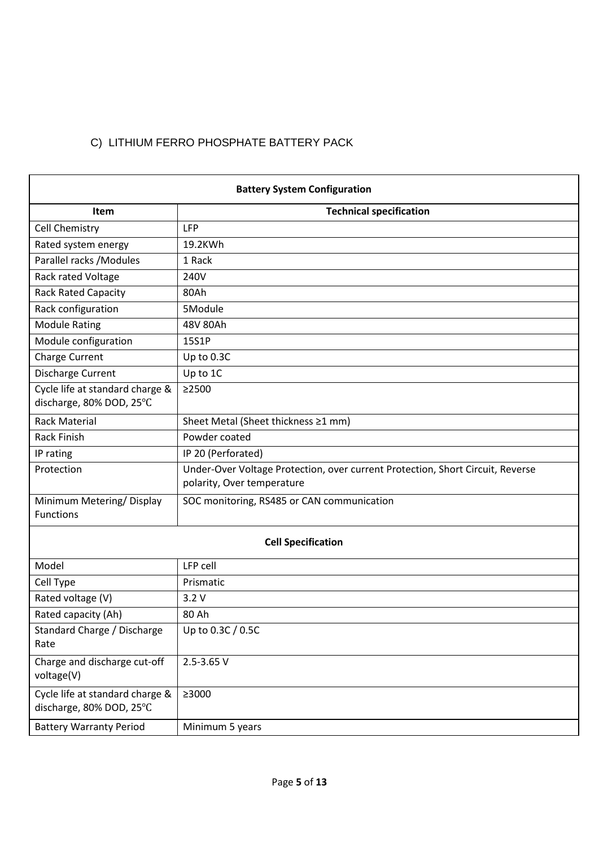# C) LITHIUM FERRO PHOSPHATE BATTERY PACK

| <b>Battery System Configuration</b>                         |                                                                                                              |  |  |
|-------------------------------------------------------------|--------------------------------------------------------------------------------------------------------------|--|--|
| Item                                                        | <b>Technical specification</b>                                                                               |  |  |
| Cell Chemistry                                              | LFP                                                                                                          |  |  |
| Rated system energy                                         | 19.2KWh                                                                                                      |  |  |
| Parallel racks / Modules                                    | 1 Rack                                                                                                       |  |  |
| Rack rated Voltage                                          | 240V                                                                                                         |  |  |
| <b>Rack Rated Capacity</b>                                  | 80Ah                                                                                                         |  |  |
| Rack configuration                                          | 5Module                                                                                                      |  |  |
| <b>Module Rating</b>                                        | 48V 80Ah                                                                                                     |  |  |
| Module configuration                                        | 15S1P                                                                                                        |  |  |
| Charge Current                                              | Up to 0.3C                                                                                                   |  |  |
| Discharge Current                                           | Up to 1C                                                                                                     |  |  |
| Cycle life at standard charge &<br>discharge, 80% DOD, 25°C | >2500                                                                                                        |  |  |
| <b>Rack Material</b>                                        | Sheet Metal (Sheet thickness ≥1 mm)                                                                          |  |  |
| <b>Rack Finish</b>                                          | Powder coated                                                                                                |  |  |
| IP rating                                                   | IP 20 (Perforated)                                                                                           |  |  |
| Protection                                                  | Under-Over Voltage Protection, over current Protection, Short Circuit, Reverse<br>polarity, Over temperature |  |  |
| Minimum Metering/Display<br><b>Functions</b>                | SOC monitoring, RS485 or CAN communication                                                                   |  |  |
|                                                             | <b>Cell Specification</b>                                                                                    |  |  |
| Model                                                       | <b>LFP cell</b>                                                                                              |  |  |
| Cell Type                                                   | Prismatic                                                                                                    |  |  |
| Rated voltage (V)                                           | 3.2V                                                                                                         |  |  |
| Rated capacity (Ah)                                         | 80 Ah                                                                                                        |  |  |
| Standard Charge / Discharge<br>Rate                         | Up to $0.3C/0.5C$                                                                                            |  |  |
| Charge and discharge cut-off<br>voltage(V)                  | 2.5-3.65 V                                                                                                   |  |  |
| Cycle life at standard charge &<br>discharge, 80% DOD, 25°C | ≥3000                                                                                                        |  |  |
| <b>Battery Warranty Period</b>                              | Minimum 5 years                                                                                              |  |  |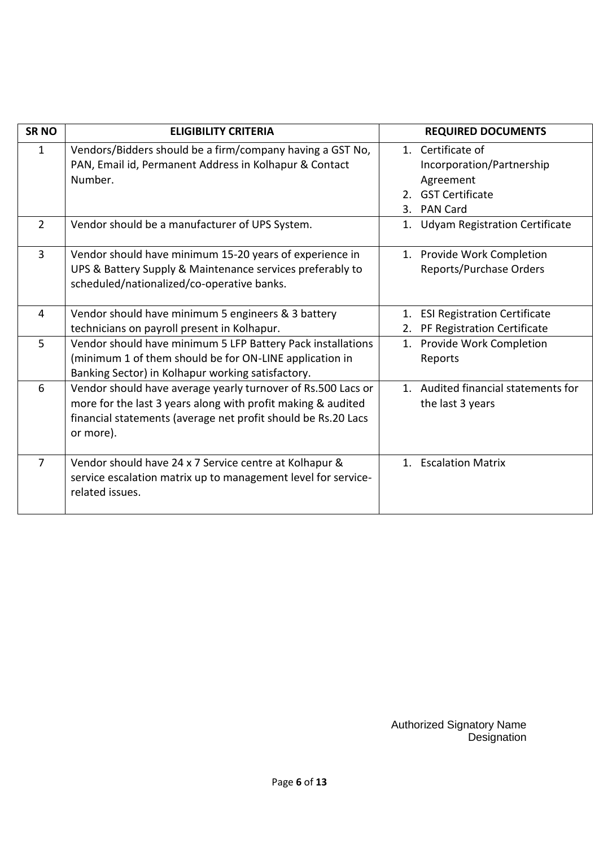| <b>SRNO</b>    | <b>ELIGIBILITY CRITERIA</b>                                                                                                                                                                                |                      | <b>REQUIRED DOCUMENTS</b>                                                                                |
|----------------|------------------------------------------------------------------------------------------------------------------------------------------------------------------------------------------------------------|----------------------|----------------------------------------------------------------------------------------------------------|
| $\mathbf{1}$   | Vendors/Bidders should be a firm/company having a GST No,<br>PAN, Email id, Permanent Address in Kolhapur & Contact<br>Number.                                                                             | 2 <sub>1</sub><br>3. | 1. Certificate of<br>Incorporation/Partnership<br>Agreement<br><b>GST Certificate</b><br><b>PAN Card</b> |
| $\overline{2}$ | Vendor should be a manufacturer of UPS System.                                                                                                                                                             | 1.                   | <b>Udyam Registration Certificate</b>                                                                    |
| 3              | Vendor should have minimum 15-20 years of experience in<br>UPS & Battery Supply & Maintenance services preferably to<br>scheduled/nationalized/co-operative banks.                                         |                      | 1. Provide Work Completion<br>Reports/Purchase Orders                                                    |
| $\overline{4}$ | Vendor should have minimum 5 engineers & 3 battery<br>technicians on payroll present in Kolhapur.                                                                                                          | 1.<br>2.             | <b>ESI Registration Certificate</b><br>PF Registration Certificate                                       |
| 5              | Vendor should have minimum 5 LFP Battery Pack installations<br>(minimum 1 of them should be for ON-LINE application in<br>Banking Sector) in Kolhapur working satisfactory.                                |                      | 1. Provide Work Completion<br>Reports                                                                    |
| 6              | Vendor should have average yearly turnover of Rs.500 Lacs or<br>more for the last 3 years along with profit making & audited<br>financial statements (average net profit should be Rs.20 Lacs<br>or more). |                      | 1. Audited financial statements for<br>the last 3 years                                                  |
| $\overline{7}$ | Vendor should have 24 x 7 Service centre at Kolhapur &<br>service escalation matrix up to management level for service-<br>related issues.                                                                 |                      | 1. Escalation Matrix                                                                                     |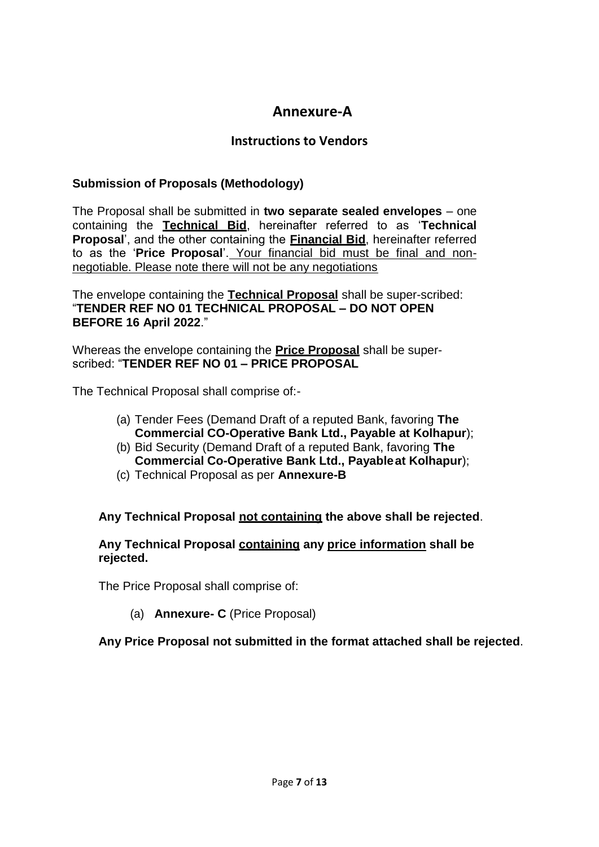# **Annexure-A**

#### **Instructions to Vendors**

#### **Submission of Proposals (Methodology)**

The Proposal shall be submitted in **two separate sealed envelopes** – one containing the **Technical Bid**, hereinafter referred to as '**Technical Proposal**', and the other containing the **Financial Bid**, hereinafter referred to as the '**Price Proposal**'. Your financial bid must be final and nonnegotiable. Please note there will not be any negotiations

The envelope containing the **Technical Proposal** shall be super-scribed: "**TENDER REF NO 01 TECHNICAL PROPOSAL – DO NOT OPEN BEFORE 16 April 2022**."

Whereas the envelope containing the **Price Proposal** shall be superscribed: "**TENDER REF NO 01 – PRICE PROPOSAL**

The Technical Proposal shall comprise of:-

- (a) Tender Fees (Demand Draft of a reputed Bank, favoring **The Commercial CO-Operative Bank Ltd., Payable at Kolhapur**);
- (b) Bid Security (Demand Draft of a reputed Bank, favoring **The Commercial Co-Operative Bank Ltd., Payableat Kolhapur**);
- (c) Technical Proposal as per **Annexure-B**

#### **Any Technical Proposal not containing the above shall be rejected**.

#### **Any Technical Proposal containing any price information shall be rejected.**

The Price Proposal shall comprise of:

(a) **Annexure- C** (Price Proposal)

**Any Price Proposal not submitted in the format attached shall be rejected**.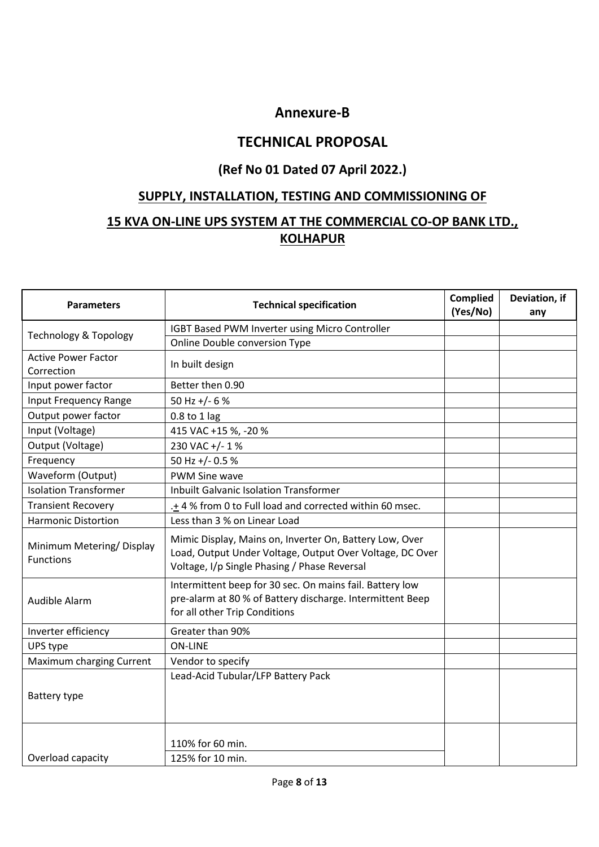# **Annexure-B**

# **TECHNICAL PROPOSAL**

## **(Ref No 01 Dated 07 April 2022.)**

## **SUPPLY, INSTALLATION, TESTING AND COMMISSIONING OF**

# **15 KVA ON-LINE UPS SYSTEM AT THE COMMERCIAL CO-OP BANK LTD., KOLHAPUR**

| <b>Technical specification</b><br><b>Parameters</b> |                                                                                                                                                                     | <b>Complied</b><br>(Yes/No) | Deviation, if<br>any |
|-----------------------------------------------------|---------------------------------------------------------------------------------------------------------------------------------------------------------------------|-----------------------------|----------------------|
|                                                     | IGBT Based PWM Inverter using Micro Controller                                                                                                                      |                             |                      |
| <b>Technology &amp; Topology</b>                    | Online Double conversion Type                                                                                                                                       |                             |                      |
| <b>Active Power Factor</b><br>Correction            | In built design                                                                                                                                                     |                             |                      |
| Input power factor                                  | Better then 0.90                                                                                                                                                    |                             |                      |
| <b>Input Frequency Range</b>                        | 50 Hz +/- 6 %                                                                                                                                                       |                             |                      |
| Output power factor                                 | 0.8 to 1 lag                                                                                                                                                        |                             |                      |
| Input (Voltage)                                     | 415 VAC +15 %, -20 %                                                                                                                                                |                             |                      |
| Output (Voltage)                                    | 230 VAC +/- 1 %                                                                                                                                                     |                             |                      |
| Frequency                                           | 50 Hz +/- 0.5 %                                                                                                                                                     |                             |                      |
| Waveform (Output)                                   | PWM Sine wave                                                                                                                                                       |                             |                      |
| <b>Isolation Transformer</b>                        | <b>Inbuilt Galvanic Isolation Transformer</b>                                                                                                                       |                             |                      |
| <b>Transient Recovery</b>                           | .+4% from 0 to Full load and corrected within 60 msec.                                                                                                              |                             |                      |
| <b>Harmonic Distortion</b>                          | Less than 3 % on Linear Load                                                                                                                                        |                             |                      |
| Minimum Metering/Display<br><b>Functions</b>        | Mimic Display, Mains on, Inverter On, Battery Low, Over<br>Load, Output Under Voltage, Output Over Voltage, DC Over<br>Voltage, I/p Single Phasing / Phase Reversal |                             |                      |
| Audible Alarm                                       | Intermittent beep for 30 sec. On mains fail. Battery low<br>pre-alarm at 80 % of Battery discharge. Intermittent Beep<br>for all other Trip Conditions              |                             |                      |
| Inverter efficiency                                 | Greater than 90%                                                                                                                                                    |                             |                      |
| UPS type                                            | <b>ON-LINE</b>                                                                                                                                                      |                             |                      |
| Maximum charging Current                            | Vendor to specify                                                                                                                                                   |                             |                      |
| Battery type                                        | Lead-Acid Tubular/LFP Battery Pack                                                                                                                                  |                             |                      |
| Overload capacity                                   | 110% for 60 min.<br>125% for 10 min.                                                                                                                                |                             |                      |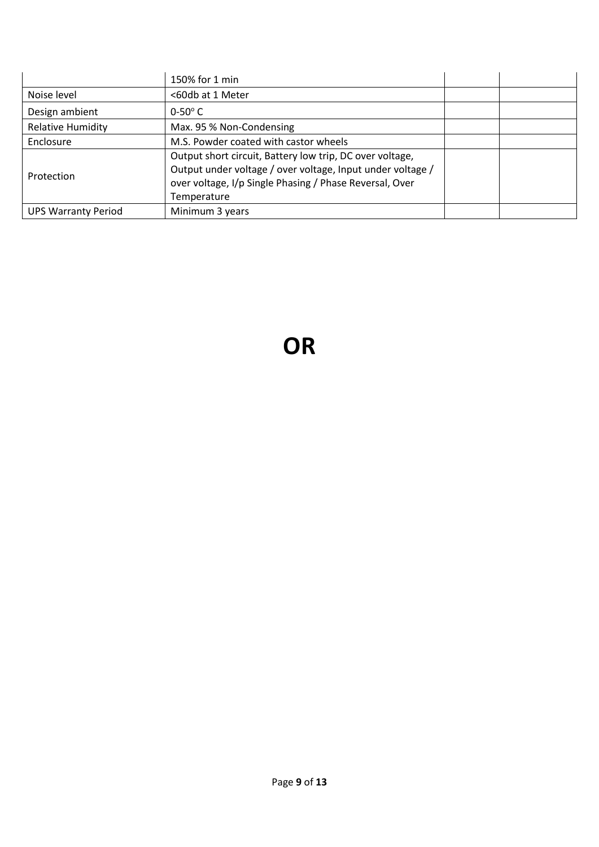|                            | 150% for 1 min                                                                                                                                                                                   |  |
|----------------------------|--------------------------------------------------------------------------------------------------------------------------------------------------------------------------------------------------|--|
| Noise level                | <60db at 1 Meter                                                                                                                                                                                 |  |
| Design ambient             | $0-50^\circ$ C                                                                                                                                                                                   |  |
| <b>Relative Humidity</b>   | Max. 95 % Non-Condensing                                                                                                                                                                         |  |
| Enclosure                  | M.S. Powder coated with castor wheels                                                                                                                                                            |  |
| Protection                 | Output short circuit, Battery low trip, DC over voltage,<br>Output under voltage / over voltage, Input under voltage /<br>over voltage, I/p Single Phasing / Phase Reversal, Over<br>Temperature |  |
| <b>UPS Warranty Period</b> | Minimum 3 years                                                                                                                                                                                  |  |

# **OR**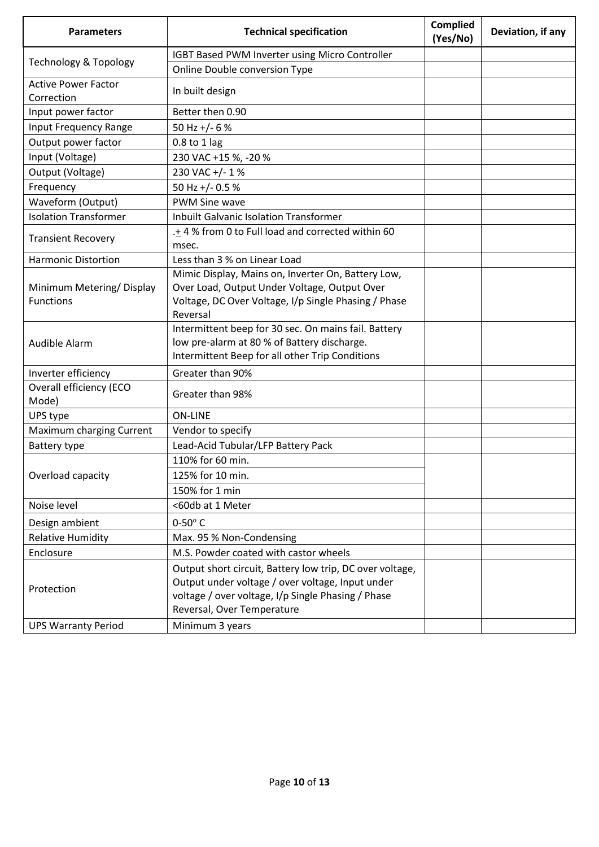| <b>Parameters</b>                            | <b>Technical specification</b>                                                                                                                                                                   | <b>Complied</b><br>(Yes/No) | Deviation, if any |
|----------------------------------------------|--------------------------------------------------------------------------------------------------------------------------------------------------------------------------------------------------|-----------------------------|-------------------|
|                                              | IGBT Based PWM Inverter using Micro Controller                                                                                                                                                   |                             |                   |
| <b>Technology &amp; Topology</b>             | Online Double conversion Type                                                                                                                                                                    |                             |                   |
| <b>Active Power Factor</b><br>Correction     | In built design                                                                                                                                                                                  |                             |                   |
| Input power factor                           | Better then 0.90                                                                                                                                                                                 |                             |                   |
| Input Frequency Range                        | 50 Hz +/- 6 %                                                                                                                                                                                    |                             |                   |
| Output power factor                          | 0.8 to 1 lag                                                                                                                                                                                     |                             |                   |
| Input (Voltage)                              | 230 VAC +15 %, -20 %                                                                                                                                                                             |                             |                   |
| Output (Voltage)                             | 230 VAC +/- 1 %                                                                                                                                                                                  |                             |                   |
| Frequency                                    | 50 Hz +/- 0.5 %                                                                                                                                                                                  |                             |                   |
| Waveform (Output)                            | <b>PWM Sine wave</b>                                                                                                                                                                             |                             |                   |
| <b>Isolation Transformer</b>                 | <b>Inbuilt Galvanic Isolation Transformer</b>                                                                                                                                                    |                             |                   |
| <b>Transient Recovery</b>                    | .+ 4 % from 0 to Full load and corrected within 60<br>msec.                                                                                                                                      |                             |                   |
| <b>Harmonic Distortion</b>                   | Less than 3 % on Linear Load                                                                                                                                                                     |                             |                   |
| Minimum Metering/Display<br><b>Functions</b> | Mimic Display, Mains on, Inverter On, Battery Low,<br>Over Load, Output Under Voltage, Output Over<br>Voltage, DC Over Voltage, I/p Single Phasing / Phase<br>Reversal                           |                             |                   |
| Audible Alarm                                | Intermittent beep for 30 sec. On mains fail. Battery<br>low pre-alarm at 80 % of Battery discharge.<br>Intermittent Beep for all other Trip Conditions                                           |                             |                   |
| Inverter efficiency                          | Greater than 90%                                                                                                                                                                                 |                             |                   |
| Overall efficiency (ECO<br>Mode)             | Greater than 98%                                                                                                                                                                                 |                             |                   |
| UPS type                                     | <b>ON-LINE</b>                                                                                                                                                                                   |                             |                   |
| Maximum charging Current                     | Vendor to specify                                                                                                                                                                                |                             |                   |
| Battery type                                 | Lead-Acid Tubular/LFP Battery Pack                                                                                                                                                               |                             |                   |
|                                              | 110% for 60 min.                                                                                                                                                                                 |                             |                   |
| Overload capacity                            | 125% for 10 min.                                                                                                                                                                                 |                             |                   |
|                                              | 150% for 1 min                                                                                                                                                                                   |                             |                   |
| Noise level                                  | <60db at 1 Meter                                                                                                                                                                                 |                             |                   |
| Design ambient                               | $0-50^\circ$ C                                                                                                                                                                                   |                             |                   |
| <b>Relative Humidity</b>                     | Max. 95 % Non-Condensing                                                                                                                                                                         |                             |                   |
| Enclosure                                    | M.S. Powder coated with castor wheels                                                                                                                                                            |                             |                   |
| Protection                                   | Output short circuit, Battery low trip, DC over voltage,<br>Output under voltage / over voltage, Input under<br>voltage / over voltage, I/p Single Phasing / Phase<br>Reversal, Over Temperature |                             |                   |
| <b>UPS Warranty Period</b>                   | Minimum 3 years                                                                                                                                                                                  |                             |                   |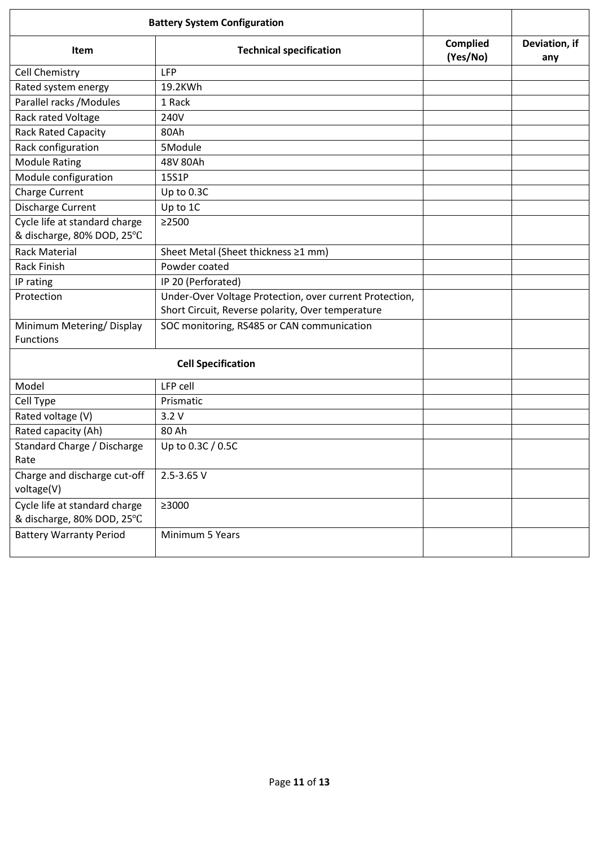| <b>Battery System Configuration</b>                         |                                                                                                              |                             |                      |
|-------------------------------------------------------------|--------------------------------------------------------------------------------------------------------------|-----------------------------|----------------------|
| Item                                                        | <b>Technical specification</b>                                                                               | <b>Complied</b><br>(Yes/No) | Deviation, if<br>any |
| Cell Chemistry                                              | <b>LFP</b>                                                                                                   |                             |                      |
| Rated system energy                                         | 19.2KWh                                                                                                      |                             |                      |
| Parallel racks / Modules                                    | 1 Rack                                                                                                       |                             |                      |
| Rack rated Voltage                                          | 240V                                                                                                         |                             |                      |
| <b>Rack Rated Capacity</b>                                  | 80Ah                                                                                                         |                             |                      |
| Rack configuration                                          | 5Module                                                                                                      |                             |                      |
| <b>Module Rating</b>                                        | 48V 80Ah                                                                                                     |                             |                      |
| Module configuration                                        | 15S1P                                                                                                        |                             |                      |
| Charge Current                                              | Up to 0.3C                                                                                                   |                             |                      |
| Discharge Current                                           | Up to 1C                                                                                                     |                             |                      |
| Cycle life at standard charge<br>& discharge, 80% DOD, 25°C | $\geq$ 2500                                                                                                  |                             |                      |
| <b>Rack Material</b>                                        | Sheet Metal (Sheet thickness ≥1 mm)                                                                          |                             |                      |
| <b>Rack Finish</b>                                          | Powder coated                                                                                                |                             |                      |
| IP rating                                                   | IP 20 (Perforated)                                                                                           |                             |                      |
| Protection                                                  | Under-Over Voltage Protection, over current Protection,<br>Short Circuit, Reverse polarity, Over temperature |                             |                      |
| Minimum Metering/Display<br><b>Functions</b>                | SOC monitoring, RS485 or CAN communication                                                                   |                             |                      |
|                                                             | <b>Cell Specification</b>                                                                                    |                             |                      |
| Model                                                       | LFP cell                                                                                                     |                             |                      |
| Cell Type                                                   | Prismatic                                                                                                    |                             |                      |
| Rated voltage (V)                                           | 3.2V                                                                                                         |                             |                      |
| Rated capacity (Ah)                                         | 80 Ah                                                                                                        |                             |                      |
| Standard Charge / Discharge<br>Rate                         | Up to 0.3C / 0.5C                                                                                            |                             |                      |
| Charge and discharge cut-off<br>voltage(V)                  | 2.5-3.65 V                                                                                                   |                             |                      |
| Cycle life at standard charge<br>& discharge, 80% DOD, 25°C | $\geq$ 3000                                                                                                  |                             |                      |
| <b>Battery Warranty Period</b>                              | Minimum 5 Years                                                                                              |                             |                      |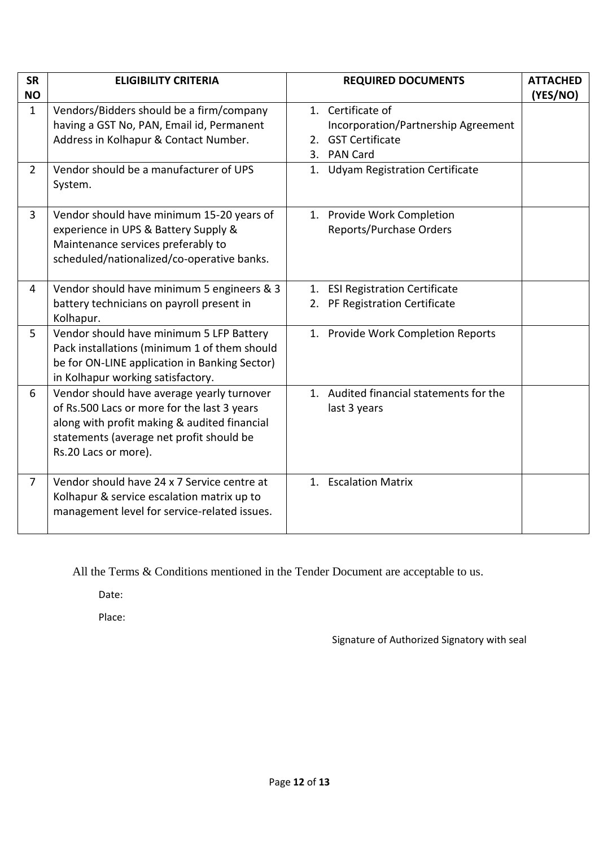| <b>SR</b>      | <b>ELIGIBILITY CRITERIA</b>                                                                                                                                                                                   | <b>REQUIRED DOCUMENTS</b>                                                                                         | <b>ATTACHED</b> |
|----------------|---------------------------------------------------------------------------------------------------------------------------------------------------------------------------------------------------------------|-------------------------------------------------------------------------------------------------------------------|-----------------|
| <b>NO</b>      |                                                                                                                                                                                                               |                                                                                                                   | (YES/NO)        |
| $\mathbf{1}$   | Vendors/Bidders should be a firm/company<br>having a GST No, PAN, Email id, Permanent<br>Address in Kolhapur & Contact Number.                                                                                | 1. Certificate of<br>Incorporation/Partnership Agreement<br><b>GST Certificate</b><br>2.<br><b>PAN Card</b><br>3. |                 |
| $\overline{2}$ | Vendor should be a manufacturer of UPS<br>System.                                                                                                                                                             | 1. Udyam Registration Certificate                                                                                 |                 |
| $\overline{3}$ | Vendor should have minimum 15-20 years of<br>experience in UPS & Battery Supply &<br>Maintenance services preferably to<br>scheduled/nationalized/co-operative banks.                                         | 1. Provide Work Completion<br>Reports/Purchase Orders                                                             |                 |
| 4              | Vendor should have minimum 5 engineers & 3<br>battery technicians on payroll present in<br>Kolhapur.                                                                                                          | 1. ESI Registration Certificate<br>2. PF Registration Certificate                                                 |                 |
| 5              | Vendor should have minimum 5 LFP Battery<br>Pack installations (minimum 1 of them should<br>be for ON-LINE application in Banking Sector)<br>in Kolhapur working satisfactory.                                | 1. Provide Work Completion Reports                                                                                |                 |
| 6              | Vendor should have average yearly turnover<br>of Rs.500 Lacs or more for the last 3 years<br>along with profit making & audited financial<br>statements (average net profit should be<br>Rs.20 Lacs or more). | 1. Audited financial statements for the<br>last 3 years                                                           |                 |
| 7              | Vendor should have 24 x 7 Service centre at<br>Kolhapur & service escalation matrix up to<br>management level for service-related issues.                                                                     | 1. Escalation Matrix                                                                                              |                 |

All the Terms & Conditions mentioned in the Tender Document are acceptable to us.

Date:

Place:

Signature of Authorized Signatory with seal